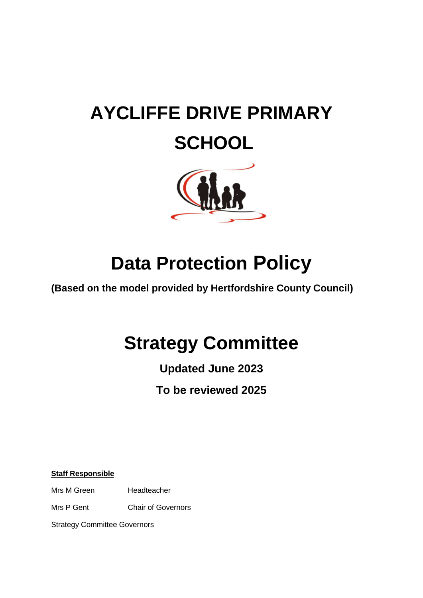# **AYCLIFFE DRIVE PRIMARY SCHOOL**



# **Data Protection Policy**

**(Based on the model provided by Hertfordshire County Council)**

# **Strategy Committee**

**Updated June 2023**

**To be reviewed 2025**

**Staff Responsible**

Mrs M Green Headteacher

Mrs P Gent Chair of Governors

Strategy Committee Governors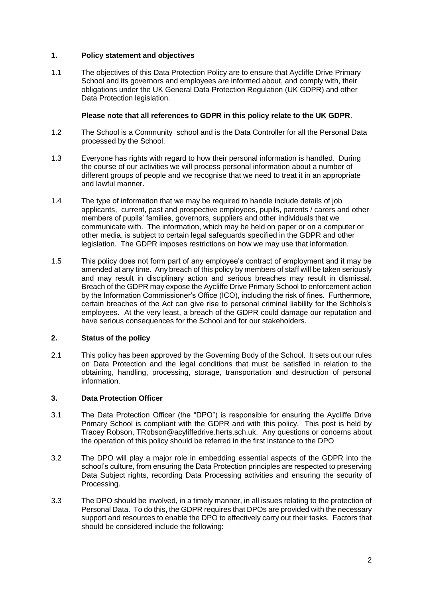## **1. Policy statement and objectives**

1.1 The objectives of this Data Protection Policy are to ensure that Aycliffe Drive Primary School and its governors and employees are informed about, and comply with, their obligations under the UK General Data Protection Regulation (UK GDPR) and other Data Protection legislation.

### **Please note that all references to GDPR in this policy relate to the UK GDPR**.

- 1.2 The School is a Community school and is the Data Controller for all the Personal Data processed by the School.
- 1.3 Everyone has rights with regard to how their personal information is handled. During the course of our activities we will process personal information about a number of different groups of people and we recognise that we need to treat it in an appropriate and lawful manner.
- 1.4 The type of information that we may be required to handle include details of job applicants, current, past and prospective employees, pupils, parents / carers and other members of pupils' families, governors, suppliers and other individuals that we communicate with. The information, which may be held on paper or on a computer or other media, is subject to certain legal safeguards specified in the GDPR and other legislation. The GDPR imposes restrictions on how we may use that information.
- 1.5 This policy does not form part of any employee's contract of employment and it may be amended at any time. Any breach of this policy by members of staff will be taken seriously and may result in disciplinary action and serious breaches may result in dismissal. Breach of the GDPR may expose the Aycliffe Drive Primary School to enforcement action by the Information Commissioner's Office (ICO), including the risk of fines. Furthermore, certain breaches of the Act can give rise to personal criminal liability for the Schhols's employees. At the very least, a breach of the GDPR could damage our reputation and have serious consequences for the School and for our stakeholders.

# **2. Status of the policy**

2.1 This policy has been approved by the Governing Body of the School. It sets out our rules on Data Protection and the legal conditions that must be satisfied in relation to the obtaining, handling, processing, storage, transportation and destruction of personal information.

# **3. Data Protection Officer**

- 3.1 The Data Protection Officer (the "DPO") is responsible for ensuring the Aycliffe Drive Primary School is compliant with the GDPR and with this policy. This post is held by Tracey Robson, TRobson@acyliffedrive.herts.sch.uk. Any questions or concerns about the operation of this policy should be referred in the first instance to the DPO
- 3.2 The DPO will play a major role in embedding essential aspects of the GDPR into the school's culture, from ensuring the Data Protection principles are respected to preserving Data Subject rights, recording Data Processing activities and ensuring the security of Processing.
- 3.3 The DPO should be involved, in a timely manner, in all issues relating to the protection of Personal Data. To do this, the GDPR requires that DPOs are provided with the necessary support and resources to enable the DPO to effectively carry out their tasks. Factors that should be considered include the following: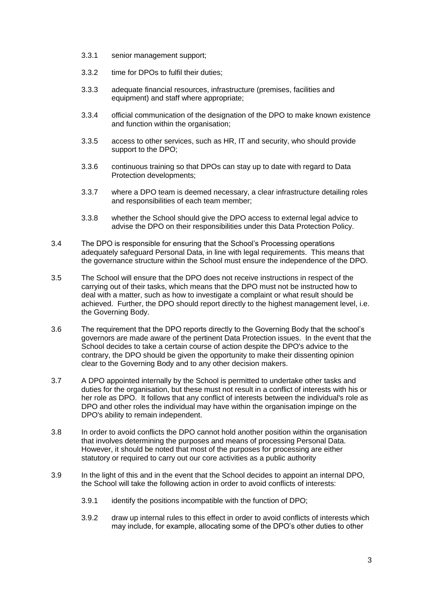- 3.3.1 senior management support;
- 3.3.2 time for DPOs to fulfil their duties;
- 3.3.3 adequate financial resources, infrastructure (premises, facilities and equipment) and staff where appropriate;
- 3.3.4 official communication of the designation of the DPO to make known existence and function within the organisation;
- 3.3.5 access to other services, such as HR, IT and security, who should provide support to the DPO;
- 3.3.6 continuous training so that DPOs can stay up to date with regard to Data Protection developments;
- 3.3.7 where a DPO team is deemed necessary, a clear infrastructure detailing roles and responsibilities of each team member;
- 3.3.8 whether the School should give the DPO access to external legal advice to advise the DPO on their responsibilities under this Data Protection Policy.
- 3.4 The DPO is responsible for ensuring that the School's Processing operations adequately safeguard Personal Data, in line with legal requirements. This means that the governance structure within the School must ensure the independence of the DPO.
- 3.5 The School will ensure that the DPO does not receive instructions in respect of the carrying out of their tasks, which means that the DPO must not be instructed how to deal with a matter, such as how to investigate a complaint or what result should be achieved. Further, the DPO should report directly to the highest management level, i.e. the Governing Body.
- 3.6 The requirement that the DPO reports directly to the Governing Body that the school's governors are made aware of the pertinent Data Protection issues. In the event that the School decides to take a certain course of action despite the DPO's advice to the contrary, the DPO should be given the opportunity to make their dissenting opinion clear to the Governing Body and to any other decision makers.
- 3.7 A DPO appointed internally by the School is permitted to undertake other tasks and duties for the organisation, but these must not result in a conflict of interests with his or her role as DPO. It follows that any conflict of interests between the individual's role as DPO and other roles the individual may have within the organisation impinge on the DPO's ability to remain independent.
- 3.8 In order to avoid conflicts the DPO cannot hold another position within the organisation that involves determining the purposes and means of processing Personal Data. However, it should be noted that most of the purposes for processing are either statutory or required to carry out our core activities as a public authority
- 3.9 In the light of this and in the event that the School decides to appoint an internal DPO, the School will take the following action in order to avoid conflicts of interests:
	- 3.9.1 identify the positions incompatible with the function of DPO;
	- 3.9.2 draw up internal rules to this effect in order to avoid conflicts of interests which may include, for example, allocating some of the DPO's other duties to other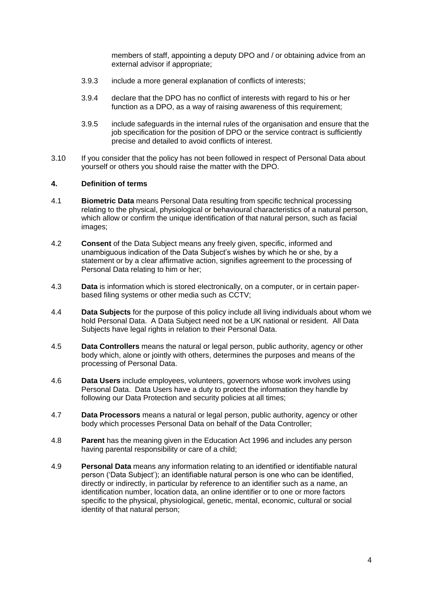members of staff, appointing a deputy DPO and / or obtaining advice from an external advisor if appropriate;

- 3.9.3 include a more general explanation of conflicts of interests;
- 3.9.4 declare that the DPO has no conflict of interests with regard to his or her function as a DPO, as a way of raising awareness of this requirement:
- 3.9.5 include safeguards in the internal rules of the organisation and ensure that the job specification for the position of DPO or the service contract is sufficiently precise and detailed to avoid conflicts of interest.
- 3.10 If you consider that the policy has not been followed in respect of Personal Data about yourself or others you should raise the matter with the DPO.

#### **4. Definition of terms**

- 4.1 **Biometric Data** means Personal Data resulting from specific technical processing relating to the physical, physiological or behavioural characteristics of a natural person, which allow or confirm the unique identification of that natural person, such as facial images;
- 4.2 **Consent** of the Data Subject means any freely given, specific, informed and unambiguous indication of the Data Subject's wishes by which he or she, by a statement or by a clear affirmative action, signifies agreement to the processing of Personal Data relating to him or her;
- 4.3 **Data** is information which is stored electronically, on a computer, or in certain paperbased filing systems or other media such as CCTV;
- 4.4 **Data Subjects** for the purpose of this policy include all living individuals about whom we hold Personal Data. A Data Subject need not be a UK national or resident. All Data Subjects have legal rights in relation to their Personal Data.
- 4.5 **Data Controllers** means the natural or legal person, public authority, agency or other body which, alone or jointly with others, determines the purposes and means of the processing of Personal Data.
- 4.6 **Data Users** include employees, volunteers, governors whose work involves using Personal Data. Data Users have a duty to protect the information they handle by following our Data Protection and security policies at all times;
- 4.7 **Data Processors** means a natural or legal person, public authority, agency or other body which processes Personal Data on behalf of the Data Controller;
- 4.8 **Parent** has the meaning given in the Education Act 1996 and includes any person having parental responsibility or care of a child;
- 4.9 **Personal Data** means any information relating to an identified or identifiable natural person ('Data Subject'); an identifiable natural person is one who can be identified, directly or indirectly, in particular by reference to an identifier such as a name, an identification number, location data, an online identifier or to one or more factors specific to the physical, physiological, genetic, mental, economic, cultural or social identity of that natural person;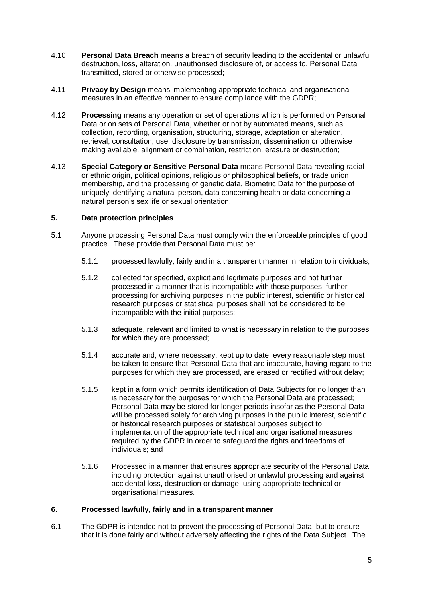- 4.10 **Personal Data Breach** means a breach of security leading to the accidental or unlawful destruction, loss, alteration, unauthorised disclosure of, or access to, Personal Data transmitted, stored or otherwise processed;
- 4.11 **Privacy by Design** means implementing appropriate technical and organisational measures in an effective manner to ensure compliance with the GDPR;
- 4.12 **Processing** means any operation or set of operations which is performed on Personal Data or on sets of Personal Data, whether or not by automated means, such as collection, recording, organisation, structuring, storage, adaptation or alteration, retrieval, consultation, use, disclosure by transmission, dissemination or otherwise making available, alignment or combination, restriction, erasure or destruction;
- <span id="page-4-0"></span>4.13 **Special Category or Sensitive Personal Data** means Personal Data revealing racial or ethnic origin, political opinions, religious or philosophical beliefs, or trade union membership, and the processing of genetic data, Biometric Data for the purpose of uniquely identifying a natural person, data concerning health or data concerning a natural person's sex life or sexual orientation.

### **5. Data protection principles**

- 5.1 Anyone processing Personal Data must comply with the enforceable principles of good practice. These provide that Personal Data must be:
	- 5.1.1 processed lawfully, fairly and in a transparent manner in relation to individuals;
	- 5.1.2 collected for specified, explicit and legitimate purposes and not further processed in a manner that is incompatible with those purposes; further processing for archiving purposes in the public interest, scientific or historical research purposes or statistical purposes shall not be considered to be incompatible with the initial purposes;
	- 5.1.3 adequate, relevant and limited to what is necessary in relation to the purposes for which they are processed;
	- 5.1.4 accurate and, where necessary, kept up to date; every reasonable step must be taken to ensure that Personal Data that are inaccurate, having regard to the purposes for which they are processed, are erased or rectified without delay;
	- 5.1.5 kept in a form which permits identification of Data Subjects for no longer than is necessary for the purposes for which the Personal Data are processed; Personal Data may be stored for longer periods insofar as the Personal Data will be processed solely for archiving purposes in the public interest, scientific or historical research purposes or statistical purposes subject to implementation of the appropriate technical and organisational measures required by the GDPR in order to safeguard the rights and freedoms of individuals; and
	- 5.1.6 Processed in a manner that ensures appropriate security of the Personal Data, including protection against unauthorised or unlawful processing and against accidental loss, destruction or damage, using appropriate technical or organisational measures.

#### **6. Processed lawfully, fairly and in a transparent manner**

6.1 The GDPR is intended not to prevent the processing of Personal Data, but to ensure that it is done fairly and without adversely affecting the rights of the Data Subject. The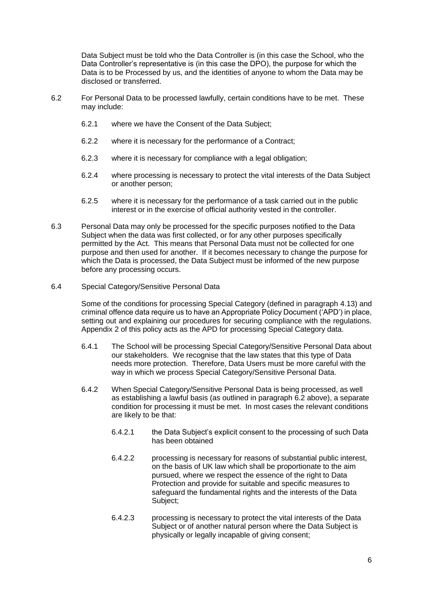Data Subject must be told who the Data Controller is (in this case the School, who the Data Controller's representative is (in this case the DPO), the purpose for which the Data is to be Processed by us, and the identities of anyone to whom the Data may be disclosed or transferred.

- <span id="page-5-0"></span>6.2 For Personal Data to be processed lawfully, certain conditions have to be met. These may include:
	- 6.2.1 where we have the Consent of the Data Subject;
	- 6.2.2 where it is necessary for the performance of a Contract;
	- 6.2.3 where it is necessary for compliance with a legal obligation;
	- 6.2.4 where processing is necessary to protect the vital interests of the Data Subject or another person;
	- 6.2.5 where it is necessary for the performance of a task carried out in the public interest or in the exercise of official authority vested in the controller.
- 6.3 Personal Data may only be processed for the specific purposes notified to the Data Subject when the data was first collected, or for any other purposes specifically permitted by the Act. This means that Personal Data must not be collected for one purpose and then used for another. If it becomes necessary to change the purpose for which the Data is processed, the Data Subject must be informed of the new purpose before any processing occurs.
- 6.4 Special Category/Sensitive Personal Data

Some of the conditions for processing Special Category (defined in paragraph [4.13\)](#page-4-0) and criminal offence data require us to have an Appropriate Policy Document ('APD') in place, setting out and explaining our procedures for securing compliance with the regulations. Appendix 2 of this policy acts as the APD for processing Special Category data.

- 6.4.1 The School will be processing Special Category/Sensitive Personal Data about our stakeholders. We recognise that the law states that this type of Data needs more protection. Therefore, Data Users must be more careful with the way in which we process Special Category/Sensitive Personal Data.
- 6.4.2 When Special Category/Sensitive Personal Data is being processed, as well as establishing a lawful basis (as outlined in paragraph [6.2](#page-5-0) above), a separate condition for processing it must be met. In most cases the relevant conditions are likely to be that:
	- 6.4.2.1 the Data Subject's explicit consent to the processing of such Data has been obtained
	- 6.4.2.2 processing is necessary for reasons of substantial public interest, on the basis of UK law which shall be proportionate to the aim pursued, where we respect the essence of the right to Data Protection and provide for suitable and specific measures to safeguard the fundamental rights and the interests of the Data Subject:
	- 6.4.2.3 processing is necessary to protect the vital interests of the Data Subject or of another natural person where the Data Subject is physically or legally incapable of giving consent;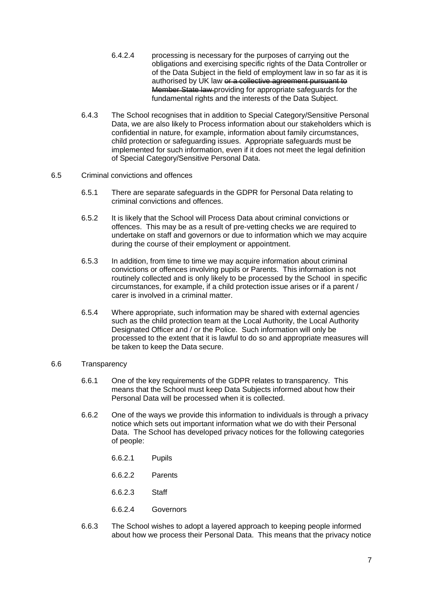- 6.4.2.4 processing is necessary for the purposes of carrying out the obligations and exercising specific rights of the Data Controller or of the Data Subject in the field of employment law in so far as it is authorised by UK law or a collective agreement pursuant to Member State law providing for appropriate safeguards for the fundamental rights and the interests of the Data Subject.
- 6.4.3 The School recognises that in addition to Special Category/Sensitive Personal Data, we are also likely to Process information about our stakeholders which is confidential in nature, for example, information about family circumstances, child protection or safeguarding issues. Appropriate safeguards must be implemented for such information, even if it does not meet the legal definition of Special Category/Sensitive Personal Data.

#### 6.5 Criminal convictions and offences

- 6.5.1 There are separate safeguards in the GDPR for Personal Data relating to criminal convictions and offences.
- 6.5.2 It is likely that the School will Process Data about criminal convictions or offences. This may be as a result of pre-vetting checks we are required to undertake on staff and governors or due to information which we may acquire during the course of their employment or appointment.
- 6.5.3 In addition, from time to time we may acquire information about criminal convictions or offences involving pupils or Parents. This information is not routinely collected and is only likely to be processed by the School in specific circumstances, for example, if a child protection issue arises or if a parent / carer is involved in a criminal matter.
- 6.5.4 Where appropriate, such information may be shared with external agencies such as the child protection team at the Local Authority, the Local Authority Designated Officer and / or the Police. Such information will only be processed to the extent that it is lawful to do so and appropriate measures will be taken to keep the Data secure.

#### 6.6 Transparency

- 6.6.1 One of the key requirements of the GDPR relates to transparency. This means that the School must keep Data Subjects informed about how their Personal Data will be processed when it is collected.
- 6.6.2 One of the ways we provide this information to individuals is through a privacy notice which sets out important information what we do with their Personal Data. The School has developed privacy notices for the following categories of people:
	- 6.6.2.1 Pupils
	- 6.6.2.2 Parents
	- 6.6.2.3 Staff
	- 6.6.2.4 Governors
- 6.6.3 The School wishes to adopt a layered approach to keeping people informed about how we process their Personal Data. This means that the privacy notice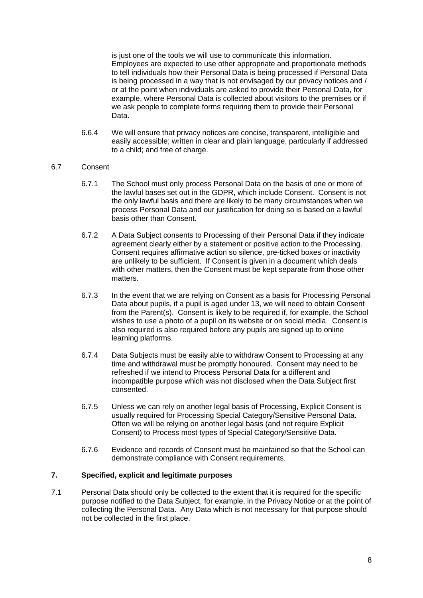is just one of the tools we will use to communicate this information. Employees are expected to use other appropriate and proportionate methods to tell individuals how their Personal Data is being processed if Personal Data is being processed in a way that is not envisaged by our privacy notices and / or at the point when individuals are asked to provide their Personal Data, for example, where Personal Data is collected about visitors to the premises or if we ask people to complete forms requiring them to provide their Personal Data.

6.6.4 We will ensure that privacy notices are concise, transparent, intelligible and easily accessible; written in clear and plain language, particularly if addressed to a child; and free of charge.

### 6.7 Consent

- 6.7.1 The School must only process Personal Data on the basis of one or more of the lawful bases set out in the GDPR, which include Consent. Consent is not the only lawful basis and there are likely to be many circumstances when we process Personal Data and our justification for doing so is based on a lawful basis other than Consent.
- 6.7.2 A Data Subject consents to Processing of their Personal Data if they indicate agreement clearly either by a statement or positive action to the Processing. Consent requires affirmative action so silence, pre-ticked boxes or inactivity are unlikely to be sufficient. If Consent is given in a document which deals with other matters, then the Consent must be kept separate from those other matters.
- 6.7.3 In the event that we are relying on Consent as a basis for Processing Personal Data about pupils, if a pupil is aged under 13, we will need to obtain Consent from the Parent(s). Consent is likely to be required if, for example, the School wishes to use a photo of a pupil on its website or on social media. Consent is also required is also required before any pupils are signed up to online learning platforms.
- 6.7.4 Data Subjects must be easily able to withdraw Consent to Processing at any time and withdrawal must be promptly honoured. Consent may need to be refreshed if we intend to Process Personal Data for a different and incompatible purpose which was not disclosed when the Data Subject first consented.
- 6.7.5 Unless we can rely on another legal basis of Processing, Explicit Consent is usually required for Processing Special Category/Sensitive Personal Data. Often we will be relying on another legal basis (and not require Explicit Consent) to Process most types of Special Category/Sensitive Data.
- 6.7.6 Evidence and records of Consent must be maintained so that the School can demonstrate compliance with Consent requirements.

#### **7. Specified, explicit and legitimate purposes**

7.1 Personal Data should only be collected to the extent that it is required for the specific purpose notified to the Data Subject, for example, in the Privacy Notice or at the point of collecting the Personal Data. Any Data which is not necessary for that purpose should not be collected in the first place.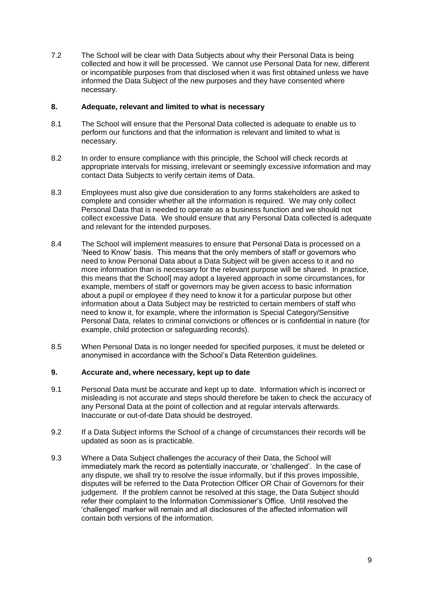7.2 The School will be clear with Data Subjects about why their Personal Data is being collected and how it will be processed. We cannot use Personal Data for new, different or incompatible purposes from that disclosed when it was first obtained unless we have informed the Data Subject of the new purposes and they have consented where necessary.

## **8. Adequate, relevant and limited to what is necessary**

- 8.1 The School will ensure that the Personal Data collected is adequate to enable us to perform our functions and that the information is relevant and limited to what is necessary.
- 8.2 In order to ensure compliance with this principle, the School will check records at appropriate intervals for missing, irrelevant or seemingly excessive information and may contact Data Subjects to verify certain items of Data.
- 8.3 Employees must also give due consideration to any forms stakeholders are asked to complete and consider whether all the information is required. We may only collect Personal Data that is needed to operate as a business function and we should not collect excessive Data. We should ensure that any Personal Data collected is adequate and relevant for the intended purposes.
- 8.4 The School will implement measures to ensure that Personal Data is processed on a 'Need to Know' basis. This means that the only members of staff or governors who need to know Personal Data about a Data Subject will be given access to it and no more information than is necessary for the relevant purpose will be shared. In practice, this means that the School] may adopt a layered approach in some circumstances, for example, members of staff or governors may be given access to basic information about a pupil or employee if they need to know it for a particular purpose but other information about a Data Subject may be restricted to certain members of staff who need to know it, for example, where the information is Special Category/Sensitive Personal Data, relates to criminal convictions or offences or is confidential in nature (for example, child protection or safeguarding records).
- 8.5 When Personal Data is no longer needed for specified purposes, it must be deleted or anonymised in accordance with the School's Data Retention guidelines.

# **9. Accurate and, where necessary, kept up to date**

- 9.1 Personal Data must be accurate and kept up to date. Information which is incorrect or misleading is not accurate and steps should therefore be taken to check the accuracy of any Personal Data at the point of collection and at regular intervals afterwards. Inaccurate or out-of-date Data should be destroyed.
- 9.2 If a Data Subject informs the School of a change of circumstances their records will be updated as soon as is practicable.
- <span id="page-8-0"></span>9.3 Where a Data Subject challenges the accuracy of their Data, the School will immediately mark the record as potentially inaccurate, or 'challenged'. In the case of any dispute, we shall try to resolve the issue informally, but if this proves impossible, disputes will be referred to the Data Protection Officer OR Chair of Governors for their judgement. If the problem cannot be resolved at this stage, the Data Subject should refer their complaint to the Information Commissioner's Office. Until resolved the 'challenged' marker will remain and all disclosures of the affected information will contain both versions of the information.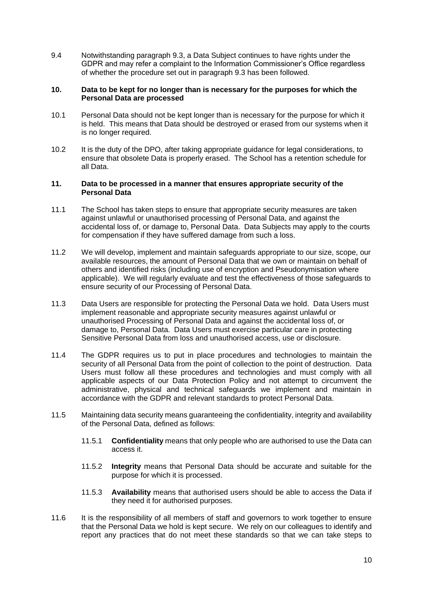9.4 Notwithstanding paragraph [9.3,](#page-8-0) a Data Subject continues to have rights under the GDPR and may refer a complaint to the Information Commissioner's Office regardless of whether the procedure set out in paragraph [9.3](#page-8-0) has been followed.

#### **10. Data to be kept for no longer than is necessary for the purposes for which the Personal Data are processed**

- 10.1 Personal Data should not be kept longer than is necessary for the purpose for which it is held. This means that Data should be destroyed or erased from our systems when it is no longer required.
- 10.2 It is the duty of the DPO, after taking appropriate guidance for legal considerations, to ensure that obsolete Data is properly erased. The School has a retention schedule for all Data.

#### **11. Data to be processed in a manner that ensures appropriate security of the Personal Data**

- 11.1 The School has taken steps to ensure that appropriate security measures are taken against unlawful or unauthorised processing of Personal Data, and against the accidental loss of, or damage to, Personal Data. Data Subjects may apply to the courts for compensation if they have suffered damage from such a loss.
- 11.2 We will develop, implement and maintain safeguards appropriate to our size, scope, our available resources, the amount of Personal Data that we own or maintain on behalf of others and identified risks (including use of encryption and Pseudonymisation where applicable). We will regularly evaluate and test the effectiveness of those safeguards to ensure security of our Processing of Personal Data.
- 11.3 Data Users are responsible for protecting the Personal Data we hold. Data Users must implement reasonable and appropriate security measures against unlawful or unauthorised Processing of Personal Data and against the accidental loss of, or damage to, Personal Data. Data Users must exercise particular care in protecting Sensitive Personal Data from loss and unauthorised access, use or disclosure.
- 11.4 The GDPR requires us to put in place procedures and technologies to maintain the security of all Personal Data from the point of collection to the point of destruction. Data Users must follow all these procedures and technologies and must comply with all applicable aspects of our Data Protection Policy and not attempt to circumvent the administrative, physical and technical safeguards we implement and maintain in accordance with the GDPR and relevant standards to protect Personal Data.
- 11.5 Maintaining data security means guaranteeing the confidentiality, integrity and availability of the Personal Data, defined as follows:
	- 11.5.1 **Confidentiality** means that only people who are authorised to use the Data can access it.
	- 11.5.2 **Integrity** means that Personal Data should be accurate and suitable for the purpose for which it is processed.
	- 11.5.3 **Availability** means that authorised users should be able to access the Data if they need it for authorised purposes.
- 11.6 It is the responsibility of all members of staff and governors to work together to ensure that the Personal Data we hold is kept secure. We rely on our colleagues to identify and report any practices that do not meet these standards so that we can take steps to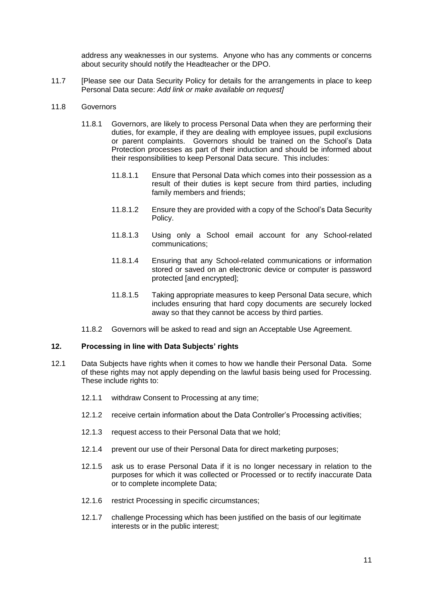address any weaknesses in our systems. Anyone who has any comments or concerns about security should notify the Headteacher or the DPO.

11.7 [Please see our Data Security Policy for details for the arrangements in place to keep Personal Data secure: *Add link or make available on request]*

#### 11.8 Governors

- 11.8.1 Governors, are likely to process Personal Data when they are performing their duties, for example, if they are dealing with employee issues, pupil exclusions or parent complaints. Governors should be trained on the School's Data Protection processes as part of their induction and should be informed about their responsibilities to keep Personal Data secure. This includes:
	- 11.8.1.1 Ensure that Personal Data which comes into their possession as a result of their duties is kept secure from third parties, including family members and friends;
	- 11.8.1.2 Ensure they are provided with a copy of the School's Data Security Policy.
	- 11.8.1.3 Using only a School email account for any School-related communications;
	- 11.8.1.4 Ensuring that any School-related communications or information stored or saved on an electronic device or computer is password protected [and encrypted];
	- 11.8.1.5 Taking appropriate measures to keep Personal Data secure, which includes ensuring that hard copy documents are securely locked away so that they cannot be access by third parties.
- 11.8.2 Governors will be asked to read and sign an Acceptable Use Agreement.

#### **12. Processing in line with Data Subjects' rights**

- 12.1 Data Subjects have rights when it comes to how we handle their Personal Data. Some of these rights may not apply depending on the lawful basis being used for Processing. These include rights to:
	- 12.1.1 withdraw Consent to Processing at any time;
	- 12.1.2 receive certain information about the Data Controller's Processing activities;
	- 12.1.3 request access to their Personal Data that we hold;
	- 12.1.4 prevent our use of their Personal Data for direct marketing purposes;
	- 12.1.5 ask us to erase Personal Data if it is no longer necessary in relation to the purposes for which it was collected or Processed or to rectify inaccurate Data or to complete incomplete Data;
	- 12.1.6 restrict Processing in specific circumstances;
	- 12.1.7 challenge Processing which has been justified on the basis of our legitimate interests or in the public interest;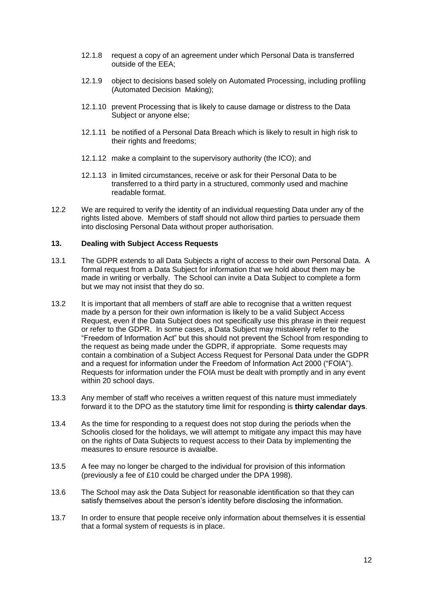- 12.1.8 request a copy of an agreement under which Personal Data is transferred outside of the EEA;
- 12.1.9 object to decisions based solely on Automated Processing, including profiling (Automated Decision Making);
- 12.1.10 prevent Processing that is likely to cause damage or distress to the Data Subject or anyone else;
- 12.1.11 be notified of a Personal Data Breach which is likely to result in high risk to their rights and freedoms;
- 12.1.12 make a complaint to the supervisory authority (the ICO); and
- 12.1.13 in limited circumstances, receive or ask for their Personal Data to be transferred to a third party in a structured, commonly used and machine readable format.
- 12.2 We are required to verify the identity of an individual requesting Data under any of the rights listed above. Members of staff should not allow third parties to persuade them into disclosing Personal Data without proper authorisation.

#### **13. Dealing with Subject Access Requests**

- 13.1 The GDPR extends to all Data Subjects a right of access to their own Personal Data. A formal request from a Data Subject for information that we hold about them may be made in writing or verbally. The School can invite a Data Subject to complete a form but we may not insist that they do so.
- 13.2 It is important that all members of staff are able to recognise that a written request made by a person for their own information is likely to be a valid Subject Access Request, even if the Data Subject does not specifically use this phrase in their request or refer to the GDPR. In some cases, a Data Subject may mistakenly refer to the "Freedom of Information Act" but this should not prevent the School from responding to the request as being made under the GDPR, if appropriate. Some requests may contain a combination of a Subject Access Request for Personal Data under the GDPR and a request for information under the Freedom of Information Act 2000 ("FOIA"). Requests for information under the FOIA must be dealt with promptly and in any event within 20 school days.
- 13.3 Any member of staff who receives a written request of this nature must immediately forward it to the DPO as the statutory time limit for responding is **thirty calendar days**.
- 13.4 As the time for responding to a request does not stop during the periods when the Schoolis closed for the holidays, we will attempt to mitigate any impact this may have on the rights of Data Subjects to request access to their Data by implementing the measures to ensure resource is avaialbe.
- 13.5 A fee may no longer be charged to the individual for provision of this information (previously a fee of £10 could be charged under the DPA 1998).
- 13.6 The School may ask the Data Subject for reasonable identification so that they can satisfy themselves about the person's identity before disclosing the information.
- 13.7 In order to ensure that people receive only information about themselves it is essential that a formal system of requests is in place.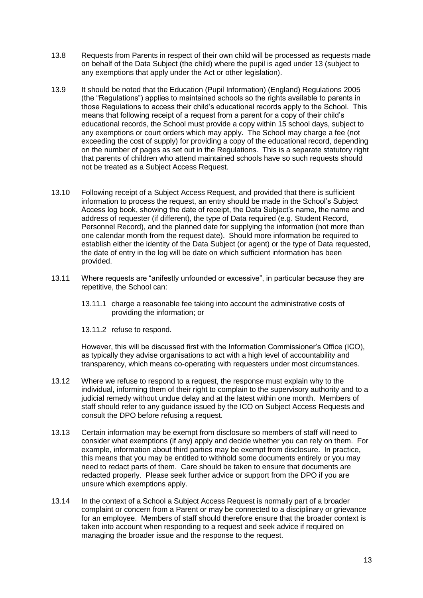- 13.8 Requests from Parents in respect of their own child will be processed as requests made on behalf of the Data Subject (the child) where the pupil is aged under 13 (subject to any exemptions that apply under the Act or other legislation).
- 13.9 It should be noted that the Education (Pupil Information) (England) Regulations 2005 (the "Regulations") applies to maintained schools so the rights available to parents in those Regulations to access their child's educational records apply to the School. This means that following receipt of a request from a parent for a copy of their child's educational records, the School must provide a copy within 15 school days, subject to any exemptions or court orders which may apply. The School may charge a fee (not exceeding the cost of supply) for providing a copy of the educational record, depending on the number of pages as set out in the Regulations. This is a separate statutory right that parents of children who attend maintained schools have so such requests should not be treated as a Subject Access Request.
- 13.10 Following receipt of a Subject Access Request, and provided that there is sufficient information to process the request, an entry should be made in the School's Subject Access log book, showing the date of receipt, the Data Subject's name, the name and address of requester (if different), the type of Data required (e.g. Student Record, Personnel Record), and the planned date for supplying the information (not more than one calendar month from the request date). Should more information be required to establish either the identity of the Data Subject (or agent) or the type of Data requested, the date of entry in the log will be date on which sufficient information has been provided.
- 13.11 Where requests are "anifestly unfounded or excessive", in particular because they are repetitive, the School can:
	- 13.11.1 charge a reasonable fee taking into account the administrative costs of providing the information; or
	- 13.11.2 refuse to respond.

However, this will be discussed first with the Information Commissioner's Office (ICO), as typically they advise organisations to act with a high level of accountability and transparency, which means co-operating with requesters under most circumstances.

- 13.12 Where we refuse to respond to a request, the response must explain why to the individual, informing them of their right to complain to the supervisory authority and to a judicial remedy without undue delay and at the latest within one month. Members of staff should refer to any guidance issued by the ICO on Subject Access Requests and consult the DPO before refusing a request.
- 13.13 Certain information may be exempt from disclosure so members of staff will need to consider what exemptions (if any) apply and decide whether you can rely on them. For example, information about third parties may be exempt from disclosure. In practice, this means that you may be entitled to withhold some documents entirely or you may need to redact parts of them. Care should be taken to ensure that documents are redacted properly. Please seek further advice or support from the DPO if you are unsure which exemptions apply.
- 13.14 In the context of a School a Subject Access Request is normally part of a broader complaint or concern from a Parent or may be connected to a disciplinary or grievance for an employee. Members of staff should therefore ensure that the broader context is taken into account when responding to a request and seek advice if required on managing the broader issue and the response to the request.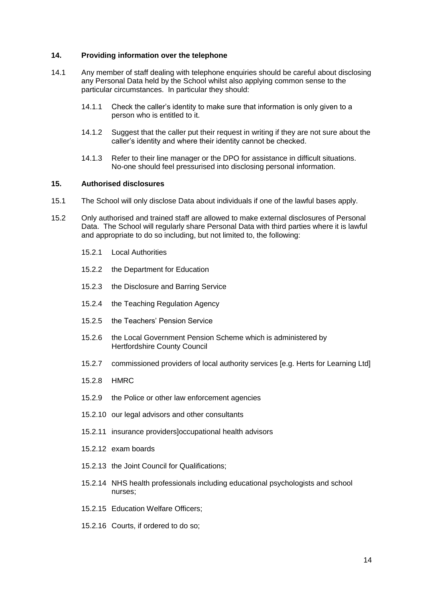#### **14. Providing information over the telephone**

- 14.1 Any member of staff dealing with telephone enquiries should be careful about disclosing any Personal Data held by the School whilst also applying common sense to the particular circumstances. In particular they should:
	- 14.1.1 Check the caller's identity to make sure that information is only given to a person who is entitled to it.
	- 14.1.2 Suggest that the caller put their request in writing if they are not sure about the caller's identity and where their identity cannot be checked.
	- 14.1.3 Refer to their line manager or the DPO for assistance in difficult situations. No-one should feel pressurised into disclosing personal information.

#### **15. Authorised disclosures**

- 15.1 The School will only disclose Data about individuals if one of the lawful bases apply.
- 15.2 Only authorised and trained staff are allowed to make external disclosures of Personal Data. The School will regularly share Personal Data with third parties where it is lawful and appropriate to do so including, but not limited to, the following:
	- 15.2.1 Local Authorities
	- 15.2.2 the Department for Education
	- 15.2.3 the Disclosure and Barring Service
	- 15.2.4 the Teaching Regulation Agency
	- 15.2.5 the Teachers' Pension Service
	- 15.2.6 the Local Government Pension Scheme which is administered by Hertfordshire County Council
	- 15.2.7 commissioned providers of local authority services [e.g. Herts for Learning Ltd]
	- 15.2.8 HMRC
	- 15.2.9 the Police or other law enforcement agencies
	- 15.2.10 our legal advisors and other consultants
	- 15.2.11 insurance providers]occupational health advisors
	- 15.2.12 exam boards
	- 15.2.13 the Joint Council for Qualifications;
	- 15.2.14 NHS health professionals including educational psychologists and school nurses;
	- 15.2.15 Education Welfare Officers;
	- 15.2.16 Courts, if ordered to do so;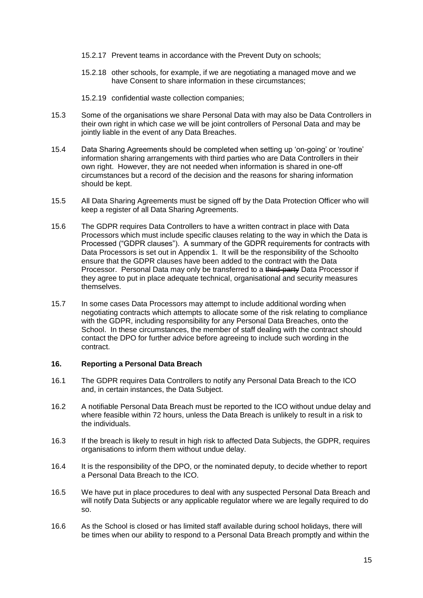- 15.2.17 Prevent teams in accordance with the Prevent Duty on schools;
- 15.2.18 other schools, for example, if we are negotiating a managed move and we have Consent to share information in these circumstances;
- 15.2.19 confidential waste collection companies;
- 15.3 Some of the organisations we share Personal Data with may also be Data Controllers in their own right in which case we will be joint controllers of Personal Data and may be jointly liable in the event of any Data Breaches.
- 15.4 Data Sharing Agreements should be completed when setting up 'on-going' or 'routine' information sharing arrangements with third parties who are Data Controllers in their own right. However, they are not needed when information is shared in one-off circumstances but a record of the decision and the reasons for sharing information should be kept.
- 15.5 All Data Sharing Agreements must be signed off by the Data Protection Officer who will keep a register of all Data Sharing Agreements.
- 15.6 The GDPR requires Data Controllers to have a written contract in place with Data Processors which must include specific clauses relating to the way in which the Data is Processed ("GDPR clauses"). A summary of the GDPR requirements for contracts with Data Processors is set out in Appendix 1. It will be the responsibility of the Schoolto ensure that the GDPR clauses have been added to the contract with the Data Processor. Personal Data may only be transferred to a third-party Data Processor if they agree to put in place adequate technical, organisational and security measures themselves.
- 15.7 In some cases Data Processors may attempt to include additional wording when negotiating contracts which attempts to allocate some of the risk relating to compliance with the GDPR, including responsibility for any Personal Data Breaches, onto the School. In these circumstances, the member of staff dealing with the contract should contact the DPO for further advice before agreeing to include such wording in the contract.

#### **16. Reporting a Personal Data Breach**

- 16.1 The GDPR requires Data Controllers to notify any Personal Data Breach to the ICO and, in certain instances, the Data Subject.
- 16.2 A notifiable Personal Data Breach must be reported to the ICO without undue delay and where feasible within 72 hours, unless the Data Breach is unlikely to result in a risk to the individuals.
- 16.3 If the breach is likely to result in high risk to affected Data Subjects, the GDPR, requires organisations to inform them without undue delay.
- 16.4 It is the responsibility of the DPO, or the nominated deputy, to decide whether to report a Personal Data Breach to the ICO.
- 16.5 We have put in place procedures to deal with any suspected Personal Data Breach and will notify Data Subjects or any applicable regulator where we are legally required to do so.
- 16.6 As the School is closed or has limited staff available during school holidays, there will be times when our ability to respond to a Personal Data Breach promptly and within the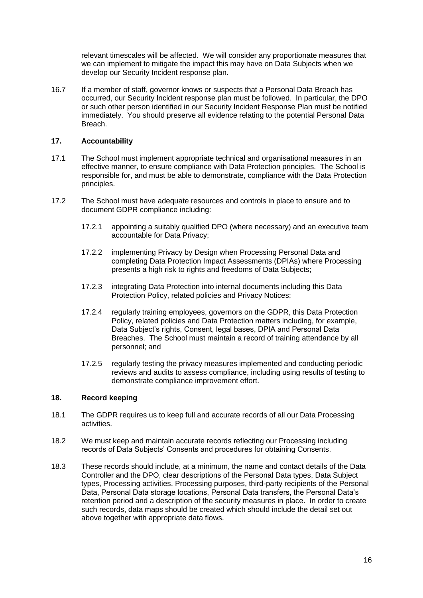relevant timescales will be affected. We will consider any proportionate measures that we can implement to mitigate the impact this may have on Data Subjects when we develop our Security Incident response plan.

16.7 If a member of staff, governor knows or suspects that a Personal Data Breach has occurred, our Security Incident response plan must be followed. In particular, the DPO or such other person identified in our Security Incident Response Plan must be notified immediately. You should preserve all evidence relating to the potential Personal Data Breach.

### **17. Accountability**

- 17.1 The School must implement appropriate technical and organisational measures in an effective manner, to ensure compliance with Data Protection principles. The School is responsible for, and must be able to demonstrate, compliance with the Data Protection principles.
- 17.2 The School must have adequate resources and controls in place to ensure and to document GDPR compliance including:
	- 17.2.1 appointing a suitably qualified DPO (where necessary) and an executive team accountable for Data Privacy;
	- 17.2.2 implementing Privacy by Design when Processing Personal Data and completing Data Protection Impact Assessments (DPIAs) where Processing presents a high risk to rights and freedoms of Data Subjects;
	- 17.2.3 integrating Data Protection into internal documents including this Data Protection Policy, related policies and Privacy Notices;
	- 17.2.4 regularly training employees, governors on the GDPR, this Data Protection Policy, related policies and Data Protection matters including, for example, Data Subject's rights, Consent, legal bases, DPIA and Personal Data Breaches. The School must maintain a record of training attendance by all personnel; and
	- 17.2.5 regularly testing the privacy measures implemented and conducting periodic reviews and audits to assess compliance, including using results of testing to demonstrate compliance improvement effort.

#### **18. Record keeping**

- 18.1 The GDPR requires us to keep full and accurate records of all our Data Processing activities.
- 18.2 We must keep and maintain accurate records reflecting our Processing including records of Data Subjects' Consents and procedures for obtaining Consents.
- 18.3 These records should include, at a minimum, the name and contact details of the Data Controller and the DPO, clear descriptions of the Personal Data types, Data Subject types, Processing activities, Processing purposes, third-party recipients of the Personal Data, Personal Data storage locations, Personal Data transfers, the Personal Data's retention period and a description of the security measures in place. In order to create such records, data maps should be created which should include the detail set out above together with appropriate data flows.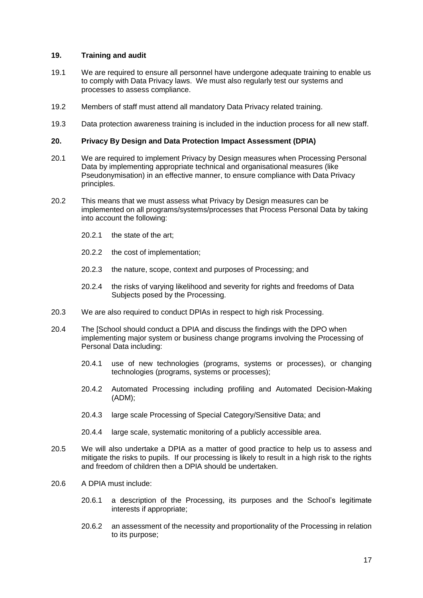#### **19. Training and audit**

- 19.1 We are required to ensure all personnel have undergone adequate training to enable us to comply with Data Privacy laws. We must also regularly test our systems and processes to assess compliance.
- 19.2 Members of staff must attend all mandatory Data Privacy related training.
- 19.3 Data protection awareness training is included in the induction process for all new staff.

#### **20. Privacy By Design and Data Protection Impact Assessment (DPIA)**

- 20.1 We are required to implement Privacy by Design measures when Processing Personal Data by implementing appropriate technical and organisational measures (like Pseudonymisation) in an effective manner, to ensure compliance with Data Privacy principles.
- 20.2 This means that we must assess what Privacy by Design measures can be implemented on all programs/systems/processes that Process Personal Data by taking into account the following:
	- 20.2.1 the state of the art;
	- 20.2.2 the cost of implementation;
	- 20.2.3 the nature, scope, context and purposes of Processing; and
	- 20.2.4 the risks of varying likelihood and severity for rights and freedoms of Data Subjects posed by the Processing.
- 20.3 We are also required to conduct DPIAs in respect to high risk Processing.
- 20.4 The [School should conduct a DPIA and discuss the findings with the DPO when implementing major system or business change programs involving the Processing of Personal Data including:
	- 20.4.1 use of new technologies (programs, systems or processes), or changing technologies (programs, systems or processes);
	- 20.4.2 Automated Processing including profiling and Automated Decision-Making (ADM);
	- 20.4.3 large scale Processing of Special Category/Sensitive Data; and
	- 20.4.4 large scale, systematic monitoring of a publicly accessible area.
- 20.5 We will also undertake a DPIA as a matter of good practice to help us to assess and mitigate the risks to pupils. If our processing is likely to result in a high risk to the rights and freedom of children then a DPIA should be undertaken.
- 20.6 A DPIA must include:
	- 20.6.1 a description of the Processing, its purposes and the School's legitimate interests if appropriate;
	- 20.6.2 an assessment of the necessity and proportionality of the Processing in relation to its purpose;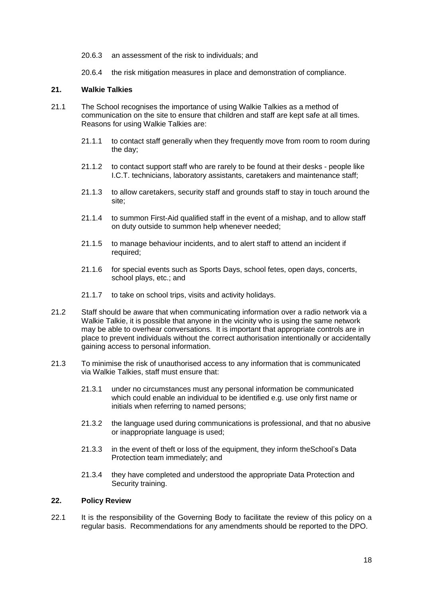- 20.6.3 an assessment of the risk to individuals; and
- 20.6.4 the risk mitigation measures in place and demonstration of compliance.

#### **21. Walkie Talkies**

- 21.1 The School recognises the importance of using Walkie Talkies as a method of communication on the site to ensure that children and staff are kept safe at all times. Reasons for using Walkie Talkies are:
	- 21.1.1 to contact staff generally when they frequently move from room to room during the day;
	- 21.1.2 to contact support staff who are rarely to be found at their desks people like I.C.T. technicians, laboratory assistants, caretakers and maintenance staff;
	- 21.1.3 to allow caretakers, security staff and grounds staff to stay in touch around the site;
	- 21.1.4 to summon First-Aid qualified staff in the event of a mishap, and to allow staff on duty outside to summon help whenever needed;
	- 21.1.5 to manage behaviour incidents, and to alert staff to attend an incident if required;
	- 21.1.6 for special events such as Sports Days, school fetes, open days, concerts, school plays, etc.; and
	- 21.1.7 to take on school trips, visits and activity holidays.
- 21.2 Staff should be aware that when communicating information over a radio network via a Walkie Talkie, it is possible that anyone in the vicinity who is using the same network may be able to overhear conversations. It is important that appropriate controls are in place to prevent individuals without the correct authorisation intentionally or accidentally gaining access to personal information.
- 21.3 To minimise the risk of unauthorised access to any information that is communicated via Walkie Talkies, staff must ensure that:
	- 21.3.1 under no circumstances must any personal information be communicated which could enable an individual to be identified e.g. use only first name or initials when referring to named persons;
	- 21.3.2 the language used during communications is professional, and that no abusive or inappropriate language is used;
	- 21.3.3 in the event of theft or loss of the equipment, they inform theSchool's Data Protection team immediately; and
	- 21.3.4 they have completed and understood the appropriate Data Protection and Security training.

#### **22. Policy Review**

22.1 It is the responsibility of the Governing Body to facilitate the review of this policy on a regular basis. Recommendations for any amendments should be reported to the DPO.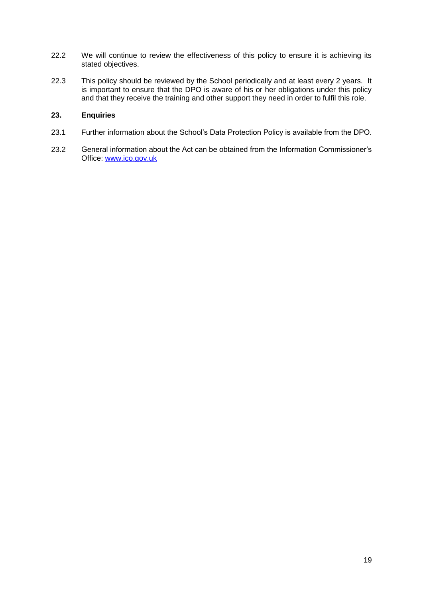- 22.2 We will continue to review the effectiveness of this policy to ensure it is achieving its stated objectives.
- 22.3 This policy should be reviewed by the School periodically and at least every 2 years. It is important to ensure that the DPO is aware of his or her obligations under this policy and that they receive the training and other support they need in order to fulfil this role.

# **23. Enquiries**

- 23.1 Further information about the School's Data Protection Policy is available from the DPO.
- 23.2 General information about the Act can be obtained from the Information Commissioner's Office: [www.ico.gov.uk](http://www.ico.gov.uk/)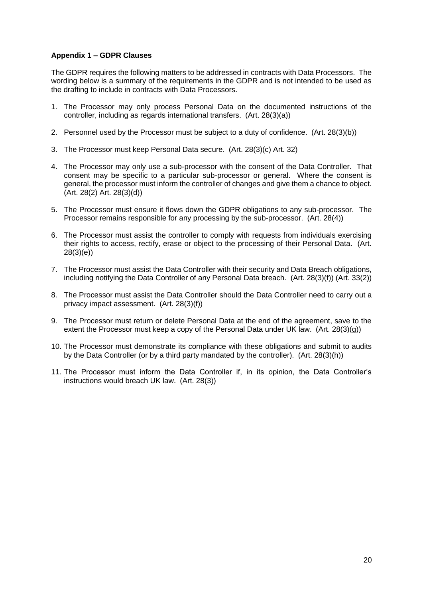### **Appendix 1 – GDPR Clauses**

The GDPR requires the following matters to be addressed in contracts with Data Processors. The wording below is a summary of the requirements in the GDPR and is not intended to be used as the drafting to include in contracts with Data Processors.

- 1. The Processor may only process Personal Data on the documented instructions of the controller, including as regards international transfers. (Art. 28(3)(a))
- 2. Personnel used by the Processor must be subject to a duty of confidence. (Art. 28(3)(b))
- 3. The Processor must keep Personal Data secure. (Art. 28(3)(c) Art. 32)
- 4. The Processor may only use a sub-processor with the consent of the Data Controller. That consent may be specific to a particular sub-processor or general. Where the consent is general, the processor must inform the controller of changes and give them a chance to object. (Art. 28(2) Art. 28(3)(d))
- 5. The Processor must ensure it flows down the GDPR obligations to any sub-processor. The Processor remains responsible for any processing by the sub-processor. (Art. 28(4))
- 6. The Processor must assist the controller to comply with requests from individuals exercising their rights to access, rectify, erase or object to the processing of their Personal Data. (Art. 28(3)(e))
- 7. The Processor must assist the Data Controller with their security and Data Breach obligations, including notifying the Data Controller of any Personal Data breach. (Art. 28(3)(f)) (Art. 33(2))
- 8. The Processor must assist the Data Controller should the Data Controller need to carry out a privacy impact assessment. (Art. 28(3)(f))
- 9. The Processor must return or delete Personal Data at the end of the agreement, save to the extent the Processor must keep a copy of the Personal Data under UK law. (Art. 28(3)(g))
- 10. The Processor must demonstrate its compliance with these obligations and submit to audits by the Data Controller (or by a third party mandated by the controller). (Art. 28(3)(h))
- 11. The Processor must inform the Data Controller if, in its opinion, the Data Controller's instructions would breach UK law. (Art. 28(3))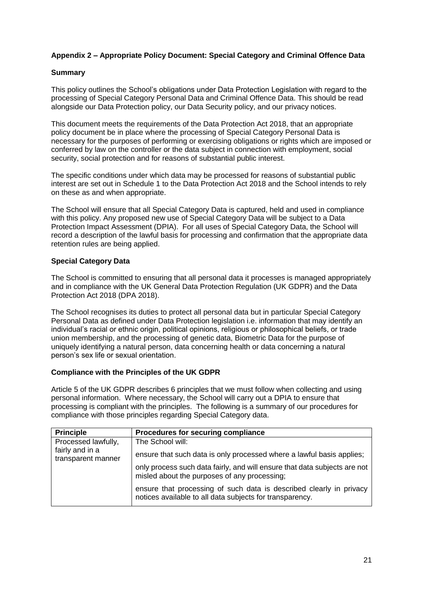# **Appendix 2 – Appropriate Policy Document: Special Category and Criminal Offence Data**

## **Summary**

This policy outlines the School's obligations under Data Protection Legislation with regard to the processing of Special Category Personal Data and Criminal Offence Data. This should be read alongside our Data Protection policy, our Data Security policy, and our privacy notices.

This document meets the requirements of the Data Protection Act 2018, that an appropriate policy document be in place where the processing of Special Category Personal Data is necessary for the purposes of performing or exercising obligations or rights which are imposed or conferred by law on the controller or the data subject in connection with employment, social security, social protection and for reasons of substantial public interest.

The specific conditions under which data may be processed for reasons of substantial public interest are set out in Schedule 1 to the Data Protection Act 2018 and the School intends to rely on these as and when appropriate.

The School will ensure that all Special Category Data is captured, held and used in compliance with this policy. Any proposed new use of Special Category Data will be subject to a Data Protection Impact Assessment (DPIA). For all uses of Special Category Data, the School will record a description of the lawful basis for processing and confirmation that the appropriate data retention rules are being applied.

### **Special Category Data**

The School is committed to ensuring that all personal data it processes is managed appropriately and in compliance with the UK General Data Protection Regulation (UK GDPR) and the Data Protection Act 2018 (DPA 2018).

The School recognises its duties to protect all personal data but in particular Special Category Personal Data as defined under Data Protection legislation i.e. information that may identify an individual's racial or ethnic origin, political opinions, religious or philosophical beliefs, or trade union membership, and the processing of genetic data, Biometric Data for the purpose of uniquely identifying a natural person, data concerning health or data concerning a natural person's sex life or sexual orientation.

#### **Compliance with the Principles of the UK GDPR**

Article 5 of the UK GDPR describes 6 principles that we must follow when collecting and using personal information. Where necessary, the School will carry out a DPIA to ensure that processing is compliant with the principles. The following is a summary of our procedures for compliance with those principles regarding Special Category data.

| <b>Principle</b>                       | Procedures for securing compliance                                                                                              |
|----------------------------------------|---------------------------------------------------------------------------------------------------------------------------------|
| Processed lawfully,<br>fairly and in a | The School will:                                                                                                                |
| transparent manner                     | ensure that such data is only processed where a lawful basis applies;                                                           |
|                                        | only process such data fairly, and will ensure that data subjects are not<br>misled about the purposes of any processing;       |
|                                        | ensure that processing of such data is described clearly in privacy<br>notices available to all data subjects for transparency. |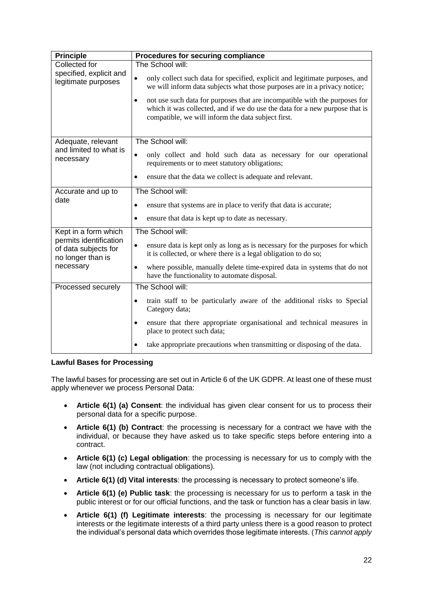| <b>Principle</b>                                                                                         | Procedures for securing compliance                                                                                                                                                                                           |  |  |
|----------------------------------------------------------------------------------------------------------|------------------------------------------------------------------------------------------------------------------------------------------------------------------------------------------------------------------------------|--|--|
| Collected for<br>specified, explicit and<br>legitimate purposes                                          | The School will:                                                                                                                                                                                                             |  |  |
|                                                                                                          | only collect such data for specified, explicit and legitimate purposes, and<br>$\bullet$<br>we will inform data subjects what those purposes are in a privacy notice;                                                        |  |  |
|                                                                                                          | not use such data for purposes that are incompatible with the purposes for<br>$\bullet$<br>which it was collected, and if we do use the data for a new purpose that is<br>compatible, we will inform the data subject first. |  |  |
| Adequate, relevant<br>and limited to what is<br>necessary                                                | The School will:                                                                                                                                                                                                             |  |  |
|                                                                                                          | only collect and hold such data as necessary for our operational<br>$\bullet$<br>requirements or to meet statutory obligations;                                                                                              |  |  |
|                                                                                                          | ensure that the data we collect is adequate and relevant.                                                                                                                                                                    |  |  |
| Accurate and up to                                                                                       | The School will:                                                                                                                                                                                                             |  |  |
| date                                                                                                     | ensure that systems are in place to verify that data is accurate;<br>٠                                                                                                                                                       |  |  |
|                                                                                                          | ensure that data is kept up to date as necessary.<br>$\bullet$                                                                                                                                                               |  |  |
| Kept in a form which<br>permits identification<br>of data subjects for<br>no longer than is<br>necessary | The School will:                                                                                                                                                                                                             |  |  |
|                                                                                                          | ensure data is kept only as long as is necessary for the purposes for which<br>٠<br>it is collected, or where there is a legal obligation to do so;                                                                          |  |  |
|                                                                                                          | where possible, manually delete time-expired data in systems that do not<br>have the functionality to automate disposal.                                                                                                     |  |  |
| Processed securely                                                                                       | The School will:                                                                                                                                                                                                             |  |  |
|                                                                                                          | train staff to be particularly aware of the additional risks to Special<br>٠<br>Category data;                                                                                                                               |  |  |
|                                                                                                          | ensure that there appropriate organisational and technical measures in<br>place to protect such data;                                                                                                                        |  |  |
|                                                                                                          | take appropriate precautions when transmitting or disposing of the data.                                                                                                                                                     |  |  |

# **Lawful Bases for Processing**

The lawful bases for processing are set out in Article 6 of the UK GDPR. At least one of these must apply whenever we process Personal Data:

- **Article 6(1) (a) Consent**: the individual has given clear consent for us to process their personal data for a specific purpose.
- **Article 6(1) (b) Contract**: the processing is necessary for a contract we have with the individual, or because they have asked us to take specific steps before entering into a contract.
- **Article 6(1) (c) Legal obligation**: the processing is necessary for us to comply with the law (not including contractual obligations).
- **Article 6(1) (d) Vital interests**: the processing is necessary to protect someone's life.
- **Article 6(1) (e) Public task**: the processing is necessary for us to perform a task in the public interest or for our official functions, and the task or function has a clear basis in law.
- **Article 6(1) (f) Legitimate interests**: the processing is necessary for our legitimate interests or the legitimate interests of a third party unless there is a good reason to protect the individual's personal data which overrides those legitimate interests. (*This cannot apply*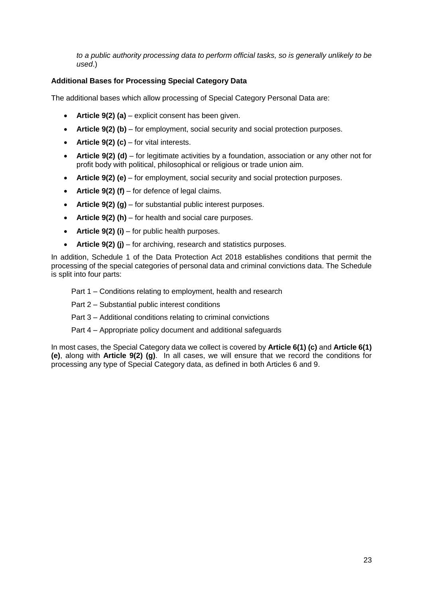*to a public authority processing data to perform official tasks, so is generally unlikely to be used*.)

# **Additional Bases for Processing Special Category Data**

The additional bases which allow processing of Special Category Personal Data are:

- **Article 9(2) (a)** explicit consent has been given.
- **Article 9(2) (b)** for employment, social security and social protection purposes.
- **Article 9(2) (c)** for vital interests.
- **Article 9(2) (d)** for legitimate activities by a foundation, association or any other not for profit body with political, philosophical or religious or trade union aim.
- **Article 9(2) (e)** for employment, social security and social protection purposes.
- **Article 9(2) (f)** for defence of legal claims.
- **Article 9(2) (g)** for substantial public interest purposes.
- **Article 9(2) (h)** for health and social care purposes.
- **Article 9(2) (i)** for public health purposes.
- **Article 9(2) (j)** for archiving, research and statistics purposes.

In addition, Schedule 1 of the Data Protection Act 2018 establishes conditions that permit the processing of the special categories of personal data and criminal convictions data. The Schedule is split into four parts:

Part 1 – Conditions relating to employment, health and research

- Part 2 Substantial public interest conditions
- Part 3 Additional conditions relating to criminal convictions
- Part 4 Appropriate policy document and additional safeguards

In most cases, the Special Category data we collect is covered by **Article 6(1) (c)** and **Article 6(1) (e)**, along with **Article 9(2) (g)**. In all cases, we will ensure that we record the conditions for processing any type of Special Category data, as defined in both Articles 6 and 9.